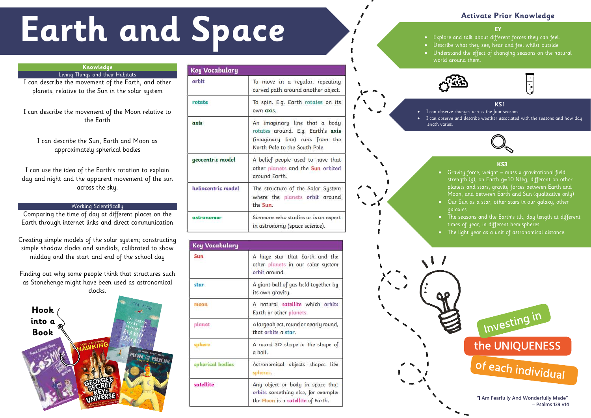• Explore and talk about different forces they can feel. • Describe what they see, hear and feel whilst outside • Understand the effect of changing seasons on the natural world around them.





• I can observe changes across the four seasons I can observe and describe weather associated with the seasons and how day



# **Activate Prior Knowledge**

### **KS1**

# length varies.

### **KS3**

- Gravity force, weight  $=$  mass x gravitational field strength (g), on Earth g=10 N/kg, different on other planets and stars; gravity forces between Earth and Moon, and between Earth and Sun (qualitative only) • Our Sun as a star, other stars in our galaxy, other galaxies
	- The seasons and the Earth's tilt, day length at different times of year, in different hemispheres
- The light year as a unit of astronomical distance.



 $-$  Psalms 139 v14

# **Earth and Space**

# **Knowledge**

Living Things and their Habitats

I can describe the movement of the Earth, and other planets, relative to the Sun in the solar system

I can describe the movement of the Moon relative to the Earth

I can describe the Sun, Earth and Moon as approximately spherical bodies

I can use the idea of the Earth's rotation to explain day and night and the apparent movement of the sun across the sky.

## Working Scientifically

Comparing the time of day at different places on the Earth through internet links and direct communication

Creating simple models of the solar system; constructing simple shadow clocks and sundials, calibrated to show midday and the start and end of the school day

Finding out why some people think that structures such as Stonehenge might have been used as astronomical clocks.



| Key Vocabulary                                                                                                                        |  |
|---------------------------------------------------------------------------------------------------------------------------------------|--|
| To move in a regular, repeating<br>curved path around another object.                                                                 |  |
| To spin. E.g. Earth rotates on its<br>own axis.                                                                                       |  |
| An imaginary line that a body<br>rotates around. E.g. Earth's axis<br>(imaginary line) runs from the<br>North Pole to the South Pole. |  |
| A belief people used to have that<br>other planets and the Sun orbited<br>around Earth.                                               |  |
| The structure of the Solar System<br>where the planets orbit around<br>the Sun.                                                       |  |
| Someone who studies or is an expert<br>in astronomy (space science).                                                                  |  |
|                                                                                                                                       |  |

| Key Vocabulary   |                                                                                                              |
|------------------|--------------------------------------------------------------------------------------------------------------|
| Sun              | A huge star that Earth and the<br>other planets in our solar system<br>orbit around.                         |
| star             | A giant ball of gas held together by<br>its own gravity.                                                     |
| moon             | A natural satellite which orbits<br>Earth or other planets.                                                  |
| planet           | A large object, round or nearly round,<br>that orbits a star.                                                |
| sphere           | A round 3D shape in the shape of<br>a ball.                                                                  |
| spherical bodies | Astronomical objects shapes like<br>spheres.                                                                 |
| satellite        | Any object or body in space that<br>orbits something else, for example:<br>the Moon is a satellite of Earth. |